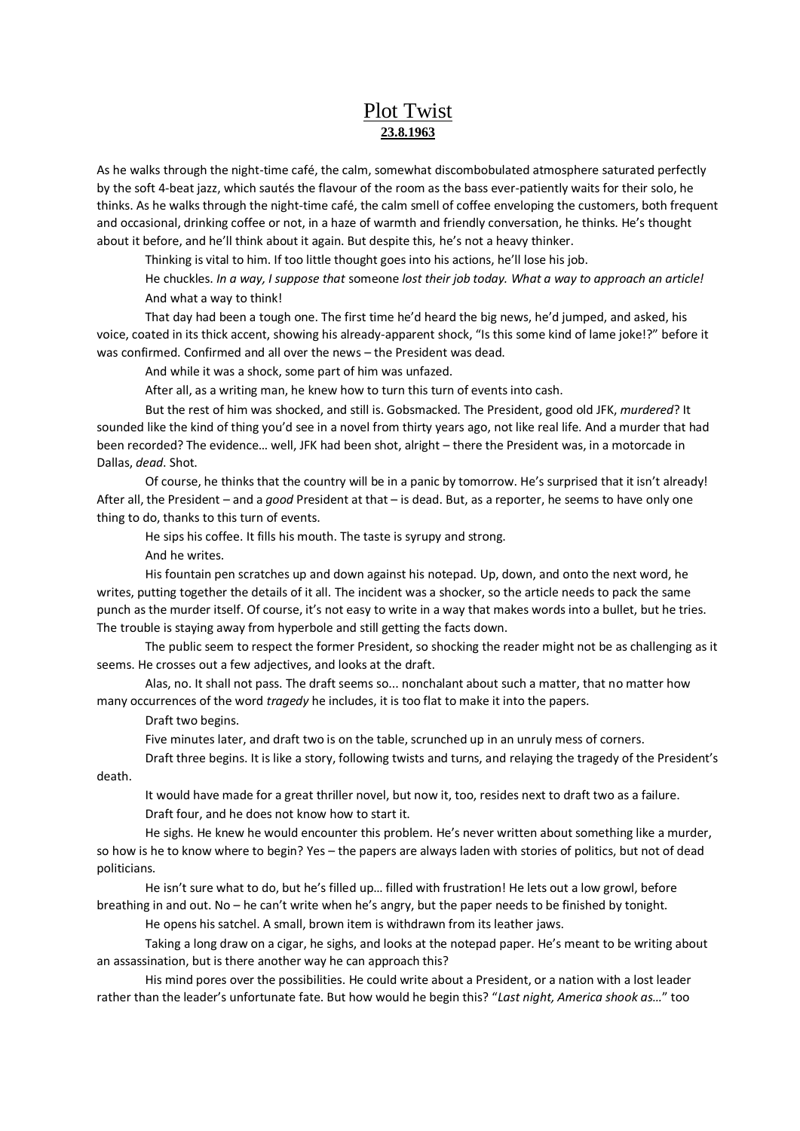## Plot Twist **23.8.1963**

As he walks through the night-time café, the calm, somewhat discombobulated atmosphere saturated perfectly by the soft 4-beat jazz, which sautés the flavour of the room as the bass ever-patiently waits for their solo, he thinks. As he walks through the night-time café, the calm smell of coffee enveloping the customers, both frequent and occasional, drinking coffee or not, in a haze of warmth and friendly conversation, he thinks. He's thought about it before, and he'll think about it again. But despite this, he's not a heavy thinker.

Thinking is vital to him. If too little thought goes into his actions, he'll lose his job.

He chuckles. *In a way, I suppose that* someone *lost their job today. What a way to approach an article!* And what a way to think!

That day had been a tough one. The first time he'd heard the big news, he'd jumped, and asked, his voice, coated in its thick accent, showing his already-apparent shock, "Is this some kind of lame joke!?" before it was confirmed. Confirmed and all over the news – the President was dead.

And while it was a shock, some part of him was unfazed.

After all, as a writing man, he knew how to turn this turn of events into cash.

But the rest of him was shocked, and still is. Gobsmacked. The President, good old JFK, *murdered*? It sounded like the kind of thing you'd see in a novel from thirty years ago, not like real life. And a murder that had been recorded? The evidence… well, JFK had been shot, alright – there the President was, in a motorcade in Dallas, *dead*. Shot.

Of course, he thinks that the country will be in a panic by tomorrow. He's surprised that it isn't already! After all, the President – and a *good* President at that – is dead. But, as a reporter, he seems to have only one thing to do, thanks to this turn of events.

He sips his coffee. It fills his mouth. The taste is syrupy and strong.

And he writes.

His fountain pen scratches up and down against his notepad. Up, down, and onto the next word, he writes, putting together the details of it all. The incident was a shocker, so the article needs to pack the same punch as the murder itself. Of course, it's not easy to write in a way that makes words into a bullet, but he tries. The trouble is staying away from hyperbole and still getting the facts down.

The public seem to respect the former President, so shocking the reader might not be as challenging as it seems. He crosses out a few adjectives, and looks at the draft.

Alas, no. It shall not pass. The draft seems so... nonchalant about such a matter, that no matter how many occurrences of the word *tragedy* he includes, it is too flat to make it into the papers.

Draft two begins.

Five minutes later, and draft two is on the table, scrunched up in an unruly mess of corners.

Draft three begins. It is like a story, following twists and turns, and relaying the tragedy of the President's

death.

It would have made for a great thriller novel, but now it, too, resides next to draft two as a failure. Draft four, and he does not know how to start it.

He sighs. He knew he would encounter this problem. He's never written about something like a murder, so how is he to know where to begin? Yes – the papers are always laden with stories of politics, but not of dead politicians.

He isn't sure what to do, but he's filled up… filled with frustration! He lets out a low growl, before breathing in and out. No – he can't write when he's angry, but the paper needs to be finished by tonight.

He opens his satchel. A small, brown item is withdrawn from its leather jaws.

Taking a long draw on a cigar, he sighs, and looks at the notepad paper. He's meant to be writing about an assassination, but is there another way he can approach this?

His mind pores over the possibilities. He could write about a President, or a nation with a lost leader rather than the leader's unfortunate fate. But how would he begin this? "*Last night, America shook as…*" too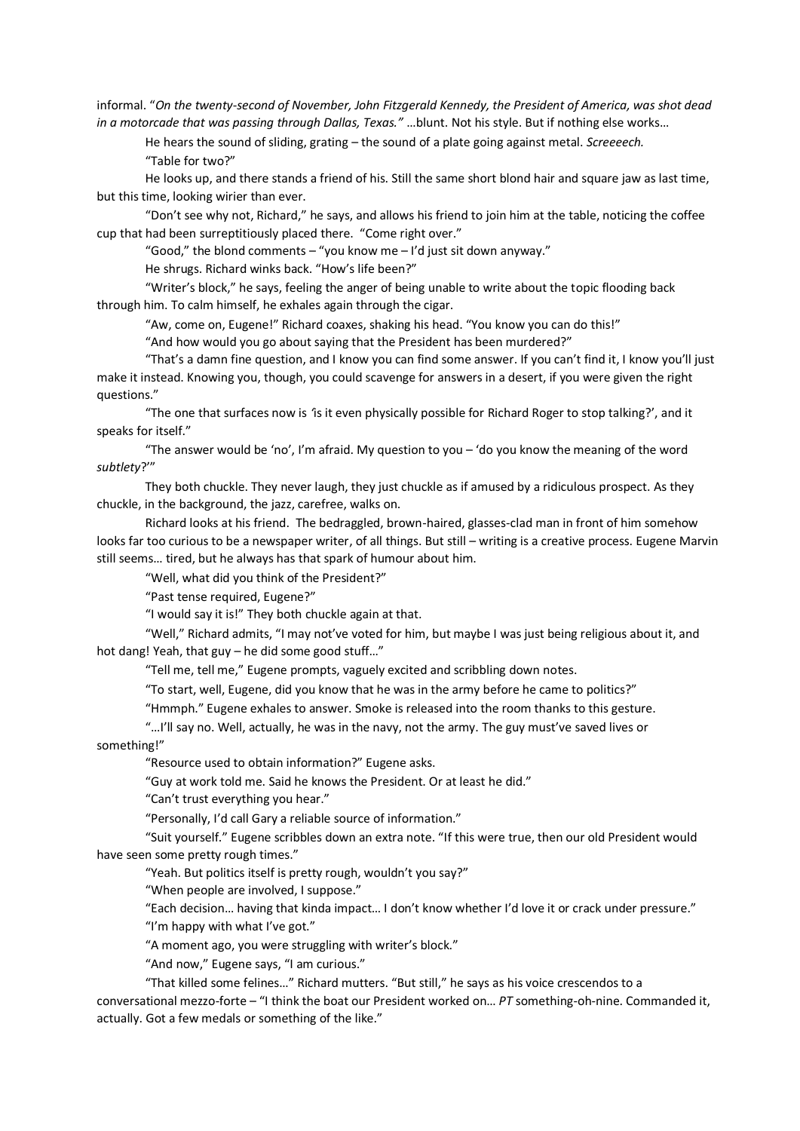informal. "*On the twenty-second of November, John Fitzgerald Kennedy, the President of America, was shot dead in a motorcade that was passing through Dallas, Texas."* …blunt. Not his style. But if nothing else works…

He hears the sound of sliding, grating – the sound of a plate going against metal. *Screeeech.* "Table for two?"

He looks up, and there stands a friend of his. Still the same short blond hair and square jaw as last time, but this time, looking wirier than ever.

"Don't see why not, Richard," he says, and allows his friend to join him at the table, noticing the coffee cup that had been surreptitiously placed there. "Come right over."

"Good," the blond comments  $-$  "you know me  $-$  I'd just sit down anyway."

He shrugs. Richard winks back. "How's life been?"

"Writer's block," he says, feeling the anger of being unable to write about the topic flooding back through him. To calm himself, he exhales again through the cigar.

"Aw, come on, Eugene!" Richard coaxes, shaking his head. "You know you can do this!"

"And how would you go about saying that the President has been murdered?"

"That's a damn fine question, and I know you can find some answer. If you can't find it, I know you'll just make it instead. Knowing you, though, you could scavenge for answers in a desert, if you were given the right questions."

"The one that surfaces now is *'*is it even physically possible for Richard Roger to stop talking?', and it speaks for itself."

"The answer would be 'no', I'm afraid. My question to you – 'do you know the meaning of the word *subtlety*?'"

They both chuckle. They never laugh, they just chuckle as if amused by a ridiculous prospect. As they chuckle, in the background, the jazz, carefree, walks on.

Richard looks at his friend. The bedraggled, brown-haired, glasses-clad man in front of him somehow looks far too curious to be a newspaper writer, of all things. But still – writing is a creative process. Eugene Marvin still seems… tired, but he always has that spark of humour about him.

"Well, what did you think of the President?"

"Past tense required, Eugene?"

"I would say it is!" They both chuckle again at that.

"Well," Richard admits, "I may not've voted for him, but maybe I was just being religious about it, and hot dang! Yeah, that guy – he did some good stuff…"

"Tell me, tell me," Eugene prompts, vaguely excited and scribbling down notes.

"To start, well, Eugene, did you know that he was in the army before he came to politics?"

"Hmmph." Eugene exhales to answer. Smoke is released into the room thanks to this gesture.

"…I'll say no. Well, actually, he was in the navy, not the army. The guy must've saved lives or something!"

"Resource used to obtain information?" Eugene asks.

"Guy at work told me. Said he knows the President. Or at least he did."

"Can't trust everything you hear."

"Personally, I'd call Gary a reliable source of information."

"Suit yourself." Eugene scribbles down an extra note. "If this were true, then our old President would have seen some pretty rough times."

"Yeah. But politics itself is pretty rough, wouldn't you say?"

"When people are involved, I suppose."

"Each decision… having that kinda impact… I don't know whether I'd love it or crack under pressure."

"I'm happy with what I've got."

"A moment ago, you were struggling with writer's block."

"And now," Eugene says, "I am curious."

"That killed some felines…" Richard mutters. "But still," he says as his voice crescendos to a conversational mezzo-forte – "I think the boat our President worked on… *PT* something-oh-nine. Commanded it, actually. Got a few medals or something of the like."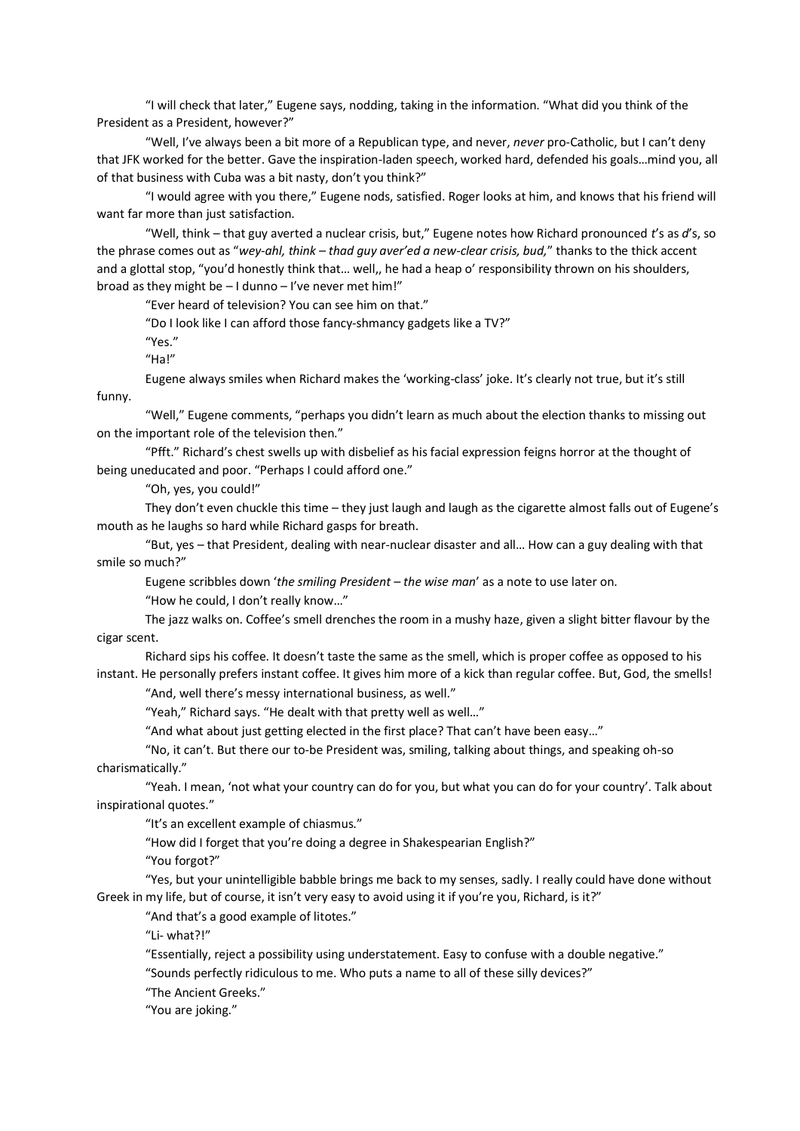"I will check that later," Eugene says, nodding, taking in the information. "What did you think of the President as a President, however?"

"Well, I've always been a bit more of a Republican type, and never, *never* pro-Catholic, but I can't deny that JFK worked for the better. Gave the inspiration-laden speech, worked hard, defended his goals…mind you, all of that business with Cuba was a bit nasty, don't you think?"

"I would agree with you there," Eugene nods, satisfied. Roger looks at him, and knows that his friend will want far more than just satisfaction.

"Well, think – that guy averted a nuclear crisis, but," Eugene notes how Richard pronounced *t*'s as *d*'s, so the phrase comes out as "*wey-ahl, think – thad guy aver'ed a new-clear crisis, bud,*" thanks to the thick accent and a glottal stop, "you'd honestly think that… well,, he had a heap o' responsibility thrown on his shoulders, broad as they might be – I dunno – I've never met him!"

"Ever heard of television? You can see him on that."

"Do I look like I can afford those fancy-shmancy gadgets like a TV?"

"Yes."

"Ha!"

Eugene always smiles when Richard makes the 'working-class' joke. It's clearly not true, but it's still funny.

"Well," Eugene comments, "perhaps you didn't learn as much about the election thanks to missing out on the important role of the television then."

"Pfft." Richard's chest swells up with disbelief as his facial expression feigns horror at the thought of being uneducated and poor. "Perhaps I could afford one."

"Oh, yes, you could!"

They don't even chuckle this time – they just laugh and laugh as the cigarette almost falls out of Eugene's mouth as he laughs so hard while Richard gasps for breath.

"But, yes – that President, dealing with near-nuclear disaster and all… How can a guy dealing with that smile so much?"

Eugene scribbles down '*the smiling President – the wise man*' as a note to use later on.

"How he could, I don't really know…"

The jazz walks on. Coffee's smell drenches the room in a mushy haze, given a slight bitter flavour by the cigar scent.

Richard sips his coffee. It doesn't taste the same as the smell, which is proper coffee as opposed to his

instant. He personally prefers instant coffee. It gives him more of a kick than regular coffee. But, God, the smells! "And, well there's messy international business, as well."

"Yeah," Richard says. "He dealt with that pretty well as well…"

"And what about just getting elected in the first place? That can't have been easy…"

"No, it can't. But there our to-be President was, smiling, talking about things, and speaking oh-so charismatically."

"Yeah. I mean, 'not what your country can do for you, but what you can do for your country'. Talk about inspirational quotes."

"It's an excellent example of chiasmus."

"How did I forget that you're doing a degree in Shakespearian English?"

"You forgot?"

"Yes, but your unintelligible babble brings me back to my senses, sadly. I really could have done without Greek in my life, but of course, it isn't very easy to avoid using it if you're you, Richard, is it?"

"And that's a good example of litotes."

"Li- what?!"

"Essentially, reject a possibility using understatement. Easy to confuse with a double negative."

"Sounds perfectly ridiculous to me. Who puts a name to all of these silly devices?"

"The Ancient Greeks."

"You are joking."